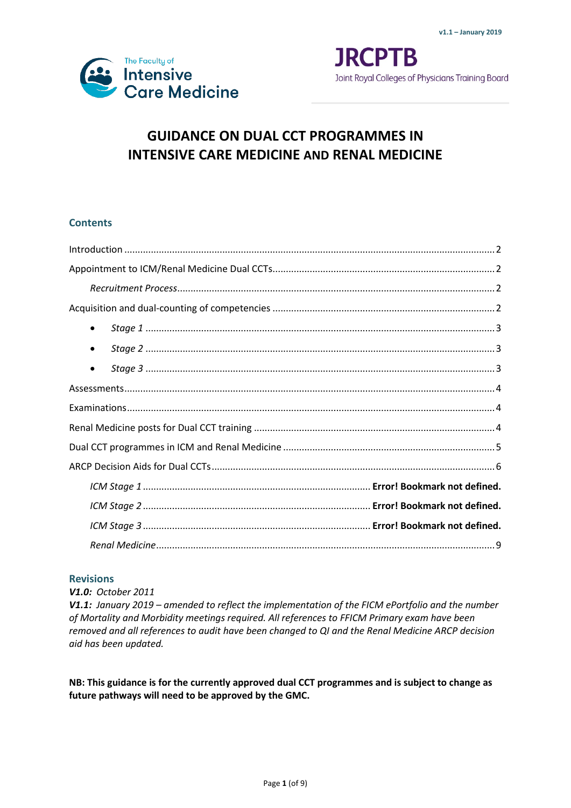

**JRCPTB** Joint Royal Colleges of Physicians Training Board

# **GUIDANCE ON DUAL CCT PROGRAMMES IN INTENSIVE CARE MEDICINE AND RENAL MEDICINE**

# **Contents**

| ٠         |  |  |  |  |  |  |  |  |
|-----------|--|--|--|--|--|--|--|--|
| $\bullet$ |  |  |  |  |  |  |  |  |
| ٠         |  |  |  |  |  |  |  |  |
|           |  |  |  |  |  |  |  |  |
|           |  |  |  |  |  |  |  |  |
|           |  |  |  |  |  |  |  |  |
|           |  |  |  |  |  |  |  |  |
|           |  |  |  |  |  |  |  |  |
|           |  |  |  |  |  |  |  |  |
|           |  |  |  |  |  |  |  |  |
|           |  |  |  |  |  |  |  |  |
|           |  |  |  |  |  |  |  |  |

### **Revisions**

*V1.0: October 2011*

*V1.1: January 2019 – amended to reflect the implementation of the FICM ePortfolio and the number of Mortality and Morbidity meetings required. All references to FFICM Primary exam have been removed and all references to audit have been changed to QI and the Renal Medicine ARCP decision aid has been updated.*

**NB: This guidance is for the currently approved dual CCT programmes and is subject to change as future pathways will need to be approved by the GMC.**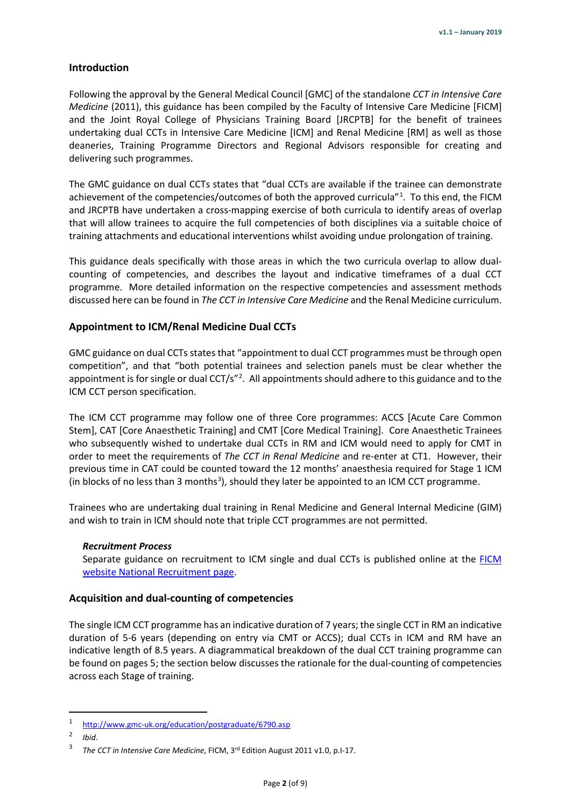#### <span id="page-1-0"></span>**Introduction**

Following the approval by the General Medical Council [GMC] of the standalone *CCT in Intensive Care Medicine* (2011), this guidance has been compiled by the Faculty of Intensive Care Medicine [FICM] and the Joint Royal College of Physicians Training Board [JRCPTB] for the benefit of trainees undertaking dual CCTs in Intensive Care Medicine [ICM] and Renal Medicine [RM] as well as those deaneries, Training Programme Directors and Regional Advisors responsible for creating and delivering such programmes.

The GMC guidance on dual CCTs states that "dual CCTs are available if the trainee can demonstrate achievement of the competencies/outcomes of both the approved curricula"<sup>[1](#page-1-4)</sup>. To this end, the FICM and JRCPTB have undertaken a cross-mapping exercise of both curricula to identify areas of overlap that will allow trainees to acquire the full competencies of both disciplines via a suitable choice of training attachments and educational interventions whilst avoiding undue prolongation of training.

This guidance deals specifically with those areas in which the two curricula overlap to allow dualcounting of competencies, and describes the layout and indicative timeframes of a dual CCT programme. More detailed information on the respective competencies and assessment methods discussed here can be found in *The CCT in Intensive Care Medicine* and the Renal Medicine curriculum.

#### <span id="page-1-1"></span>**Appointment to ICM/Renal Medicine Dual CCTs**

GMC guidance on dual CCTs states that "appointment to dual CCT programmes must be through open competition", and that "both potential trainees and selection panels must be clear whether the appointment is for single or dual CCT/s"<sup>[2](#page-1-5)</sup>. All appointments should adhere to this guidance and to the ICM CCT person specification.

The ICM CCT programme may follow one of three Core programmes: ACCS [Acute Care Common Stem], CAT [Core Anaesthetic Training] and CMT [Core Medical Training]. Core Anaesthetic Trainees who subsequently wished to undertake dual CCTs in RM and ICM would need to apply for CMT in order to meet the requirements of *The CCT in Renal Medicine* and re-enter at CT1. However, their previous time in CAT could be counted toward the 12 months' anaesthesia required for Stage 1 ICM (in blocks of no less than [3](#page-1-6) months<sup>3</sup>), should they later be appointed to an ICM CCT programme.

Trainees who are undertaking dual training in Renal Medicine and General Internal Medicine (GIM) and wish to train in ICM should note that triple CCT programmes are not permitted.

#### <span id="page-1-2"></span>*Recruitment Process*

Separate guidance on recruitment to ICM single and dual CCTs is published online at the FICM [website National Recruitment page.](http://ficm.ac.uk/national-recruitment-intensive-care-medicine)

#### <span id="page-1-3"></span>**Acquisition and dual-counting of competencies**

The single ICM CCT programme has an indicative duration of 7 years; the single CCT in RM an indicative duration of 5-6 years (depending on entry via CMT or ACCS); dual CCTs in ICM and RM have an indicative length of 8.5 years. A diagrammatical breakdown of the dual CCT training programme can be found on pages 5; the section below discusses the rationale for the dual-counting of competencies across each Stage of training.

<span id="page-1-4"></span><sup>1</sup> <http://www.gmc-uk.org/education/postgraduate/6790.asp>

<span id="page-1-5"></span><sup>2</sup> *Ibid*.

<span id="page-1-6"></span><sup>3</sup> *The CCT in Intensive Care Medicine*, FICM, 3rd Edition August 2011 v1.0, p.I-17.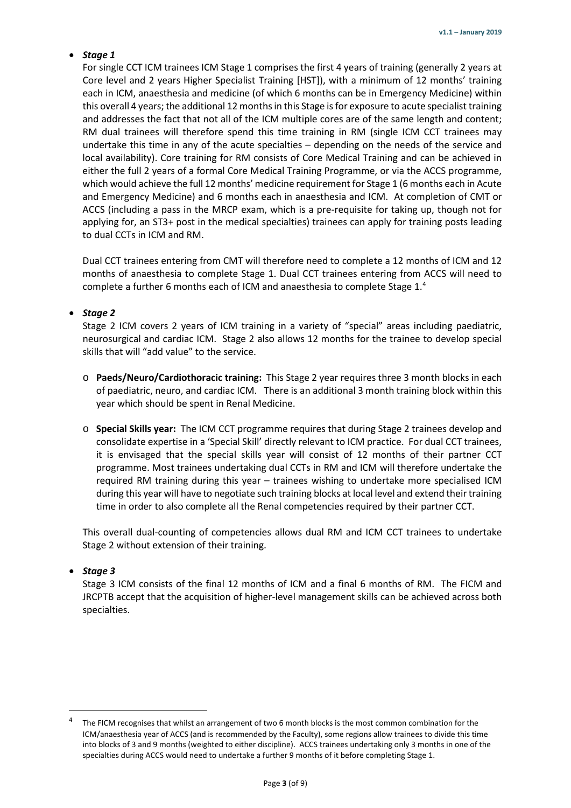# <span id="page-2-0"></span>• *Stage 1*

For single CCT ICM trainees ICM Stage 1 comprises the first 4 years of training (generally 2 years at Core level and 2 years Higher Specialist Training [HST]), with a minimum of 12 months' training each in ICM, anaesthesia and medicine (of which 6 months can be in Emergency Medicine) within this overall 4 years; the additional 12 months in this Stage is for exposure to acute specialist training and addresses the fact that not all of the ICM multiple cores are of the same length and content; RM dual trainees will therefore spend this time training in RM (single ICM CCT trainees may undertake this time in any of the acute specialties – depending on the needs of the service and local availability). Core training for RM consists of Core Medical Training and can be achieved in either the full 2 years of a formal Core Medical Training Programme, or via the ACCS programme, which would achieve the full 12 months' medicine requirement for Stage 1 (6 months each in Acute and Emergency Medicine) and 6 months each in anaesthesia and ICM. At completion of CMT or ACCS (including a pass in the MRCP exam, which is a pre-requisite for taking up, though not for applying for, an ST3+ post in the medical specialties) trainees can apply for training posts leading to dual CCTs in ICM and RM.

Dual CCT trainees entering from CMT will therefore need to complete a 12 months of ICM and 12 months of anaesthesia to complete Stage 1. Dual CCT trainees entering from ACCS will need to complete a further 6 months each of ICM and anaesthesia to complete Stage  $1.^4$  $1.^4$ 

# <span id="page-2-1"></span>• *Stage 2*

Stage 2 ICM covers 2 years of ICM training in a variety of "special" areas including paediatric, neurosurgical and cardiac ICM. Stage 2 also allows 12 months for the trainee to develop special skills that will "add value" to the service.

- o **Paeds/Neuro/Cardiothoracic training:** This Stage 2 year requires three 3 month blocks in each of paediatric, neuro, and cardiac ICM. There is an additional 3 month training block within this year which should be spent in Renal Medicine.
- o **Special Skills year:** The ICM CCT programme requires that during Stage 2 trainees develop and consolidate expertise in a 'Special Skill' directly relevant to ICM practice. For dual CCT trainees, it is envisaged that the special skills year will consist of 12 months of their partner CCT programme. Most trainees undertaking dual CCTs in RM and ICM will therefore undertake the required RM training during this year – trainees wishing to undertake more specialised ICM during this year will have to negotiate such training blocks at local level and extend their training time in order to also complete all the Renal competencies required by their partner CCT.

This overall dual-counting of competencies allows dual RM and ICM CCT trainees to undertake Stage 2 without extension of their training.

# <span id="page-2-2"></span>• *Stage 3*

Stage 3 ICM consists of the final 12 months of ICM and a final 6 months of RM. The FICM and JRCPTB accept that the acquisition of higher-level management skills can be achieved across both specialties.

<span id="page-2-3"></span>The FICM recognises that whilst an arrangement of two 6 month blocks is the most common combination for the ICM/anaesthesia year of ACCS (and is recommended by the Faculty), some regions allow trainees to divide this time into blocks of 3 and 9 months (weighted to either discipline). ACCS trainees undertaking only 3 months in one of the specialties during ACCS would need to undertake a further 9 months of it before completing Stage 1.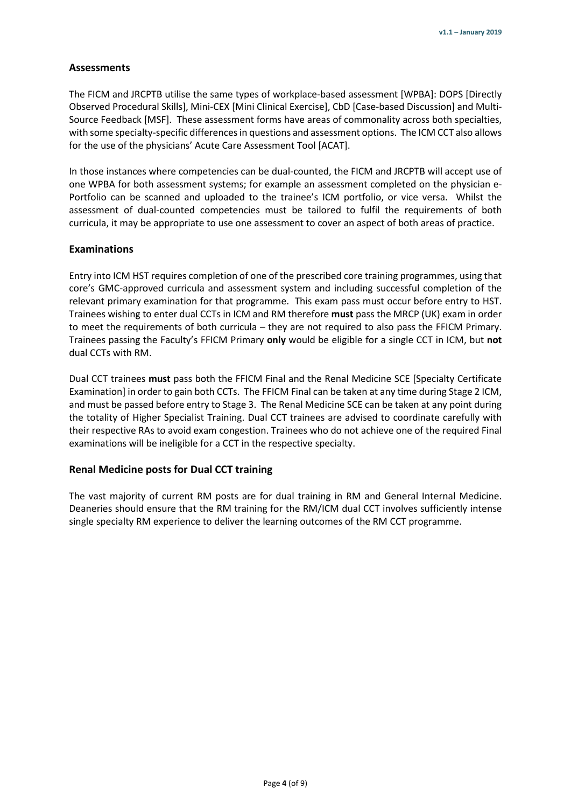# <span id="page-3-0"></span>**Assessments**

The FICM and JRCPTB utilise the same types of workplace-based assessment [WPBA]: DOPS [Directly Observed Procedural Skills], Mini-CEX [Mini Clinical Exercise], CbD [Case-based Discussion] and Multi-Source Feedback [MSF]. These assessment forms have areas of commonality across both specialties, with some specialty-specific differences in questions and assessment options. The ICM CCT also allows for the use of the physicians' Acute Care Assessment Tool [ACAT].

In those instances where competencies can be dual-counted, the FICM and JRCPTB will accept use of one WPBA for both assessment systems; for example an assessment completed on the physician e-Portfolio can be scanned and uploaded to the trainee's ICM portfolio, or vice versa. Whilst the assessment of dual-counted competencies must be tailored to fulfil the requirements of both curricula, it may be appropriate to use one assessment to cover an aspect of both areas of practice.

### <span id="page-3-1"></span>**Examinations**

Entry into ICM HST requires completion of one of the prescribed core training programmes, using that core's GMC-approved curricula and assessment system and including successful completion of the relevant primary examination for that programme. This exam pass must occur before entry to HST. Trainees wishing to enter dual CCTs in ICM and RM therefore **must** pass the MRCP (UK) exam in order to meet the requirements of both curricula – they are not required to also pass the FFICM Primary. Trainees passing the Faculty's FFICM Primary **only** would be eligible for a single CCT in ICM, but **not**  dual CCTs with RM.

Dual CCT trainees **must** pass both the FFICM Final and the Renal Medicine SCE [Specialty Certificate Examination] in order to gain both CCTs. The FFICM Final can be taken at any time during Stage 2 ICM, and must be passed before entry to Stage 3. The Renal Medicine SCE can be taken at any point during the totality of Higher Specialist Training. Dual CCT trainees are advised to coordinate carefully with their respective RAs to avoid exam congestion. Trainees who do not achieve one of the required Final examinations will be ineligible for a CCT in the respective specialty.

### <span id="page-3-2"></span>**Renal Medicine posts for Dual CCT training**

The vast majority of current RM posts are for dual training in RM and General Internal Medicine. Deaneries should ensure that the RM training for the RM/ICM dual CCT involves sufficiently intense single specialty RM experience to deliver the learning outcomes of the RM CCT programme.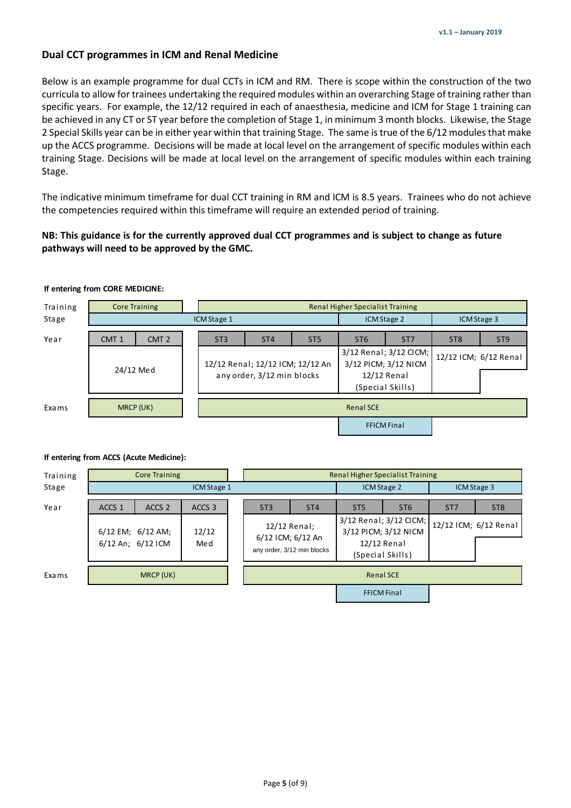# <span id="page-4-0"></span>**Dual CCT programmes in ICM and Renal Medicine**

Below is an example programme for dual CCTs in ICM and RM. There is scope within the construction of the two curricula to allow for trainees undertaking the required modules within an overarching Stage of training rather than specific years. For example, the 12/12 required in each of anaesthesia, medicine and ICM for Stage 1 training can be achieved in any CT or ST year before the completion of Stage 1, in minimum 3 month blocks. Likewise, the Stage 2 Special Skills year can be in either year within that training Stage. The same is true of the 6/12 modules that make up the ACCS programme. Decisions will be made at local level on the arrangement of specific modules within each training Stage. Decisions will be made at local level on the arrangement of specific modules within each training Stage.

The indicative minimum timeframe for dual CCT training in RM and ICM is 8.5 years. Trainees who do not achieve the competencies required within this timeframe will require an extended period of training.

# **NB: This guidance is for the currently approved dual CCT programmes and is subject to change as future pathways will need to be approved by the GMC.**

## **If entering from CORE MEDICINE:**

| Training  | <b>Core Training</b>                 |                  |                                  |                            |                 |                                 |                                                |                       |                 |
|-----------|--------------------------------------|------------------|----------------------------------|----------------------------|-----------------|---------------------------------|------------------------------------------------|-----------------------|-----------------|
| Stage     |                                      | ICM Stage 2      |                                  | ICM Stage 3                |                 |                                 |                                                |                       |                 |
| Year      | CMT <sub>2</sub><br>CMT <sub>1</sub> |                  | ST <sub>3</sub>                  | ST <sub>4</sub>            | ST <sub>5</sub> | ST <sub>6</sub>                 | ST <sub>7</sub>                                | ST <sub>8</sub>       | ST <sub>9</sub> |
|           |                                      |                  | 12/12 Renal; 12/12 ICM; 12/12 An |                            |                 |                                 | 3/12 Renal; 3/12 CICM;<br>3/12 PICM; 3/12 NICM | 12/12 ICM; 6/12 Renal |                 |
| 24/12 Med |                                      |                  |                                  | any order, 3/12 min blocks |                 | 12/12 Renal<br>(Special Skills) |                                                |                       |                 |
| Exa ms    | MRCP (UK)                            | <b>Renal SCE</b> |                                  |                            |                 |                                 |                                                |                       |                 |
|           |                                      |                  |                                  |                            |                 |                                 | <b>FFICM Final</b>                             |                       |                 |
|           |                                      |                  |                                  |                            |                 |                                 |                                                |                       |                 |

#### **If entering from ACCS (Acute Medicine):**

| Training | <b>Core Training</b>                                        |                                        |              |                 | <b>Renal Higher Specialist Training</b>                         |                 |                                                                                   |                 |                       |  |
|----------|-------------------------------------------------------------|----------------------------------------|--------------|-----------------|-----------------------------------------------------------------|-----------------|-----------------------------------------------------------------------------------|-----------------|-----------------------|--|
| Stage    | ICM Stage 1                                                 |                                        |              |                 |                                                                 |                 | ICM Stage 2                                                                       |                 | <b>ICM Stage 3</b>    |  |
| Year     | ACCS <sub>1</sub><br>ACCS <sub>3</sub><br>ACCS <sub>2</sub> |                                        |              | ST <sub>3</sub> | ST <sub>4</sub>                                                 | ST <sub>5</sub> | ST <sub>6</sub>                                                                   | ST <sub>7</sub> | ST <sub>8</sub>       |  |
|          |                                                             | 6/12 EM; 6/12 AM;<br>6/12 An; 6/12 ICM | 12/12<br>Med |                 | 12/12 Renal;<br>6/12 ICM; 6/12 An<br>any order, 3/12 min blocks |                 | 3/12 Renal; 3/12 CICM;<br>3/12 PICM; 3/12 NICM<br>12/12 Renal<br>(Special Skills) |                 | 12/12 ICM; 6/12 Renal |  |
| Exa ms   | MRCP (UK)                                                   |                                        |              |                 | <b>Renal SCE</b>                                                |                 |                                                                                   |                 |                       |  |
|          |                                                             |                                        |              |                 |                                                                 |                 | <b>FFICM Final</b>                                                                |                 |                       |  |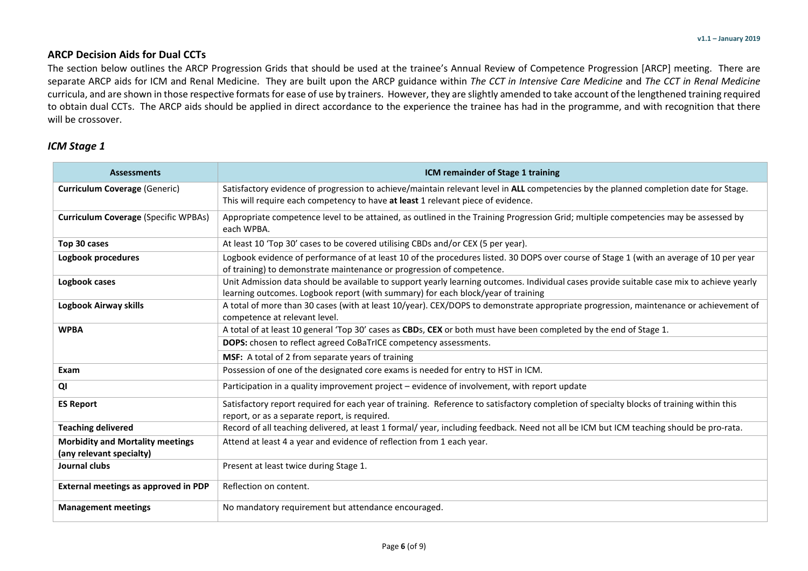# **ARCP Decision Aids for Dual CCTs**

The section below outlines the ARCP Progression Grids that should be used at the trainee's Annual Review of Competence Progression [ARCP] meeting. There are separate ARCP aids for ICM and Renal Medicine. They are built upon the ARCP guidance within *The CCT in Intensive Care Medicine* and *The CCT in Renal Medicine* curricula, and are shown in those respective formats for ease of use by trainers. However, they are slightly amended to take account of the lengthened training required to obtain dual CCTs. The ARCP aids should be applied in direct accordance to the experience the trainee has had in the programme, and with recognition that there will be crossover.

# *ICM Stage 1*

<span id="page-5-0"></span>

| <b>Assessments</b>                                                  | ICM remainder of Stage 1 training                                                                                                                                                                                             |  |  |  |  |  |  |
|---------------------------------------------------------------------|-------------------------------------------------------------------------------------------------------------------------------------------------------------------------------------------------------------------------------|--|--|--|--|--|--|
| <b>Curriculum Coverage (Generic)</b>                                | Satisfactory evidence of progression to achieve/maintain relevant level in ALL competencies by the planned completion date for Stage.<br>This will require each competency to have at least 1 relevant piece of evidence.     |  |  |  |  |  |  |
| <b>Curriculum Coverage (Specific WPBAs)</b>                         | Appropriate competence level to be attained, as outlined in the Training Progression Grid; multiple competencies may be assessed by<br>each WPBA.                                                                             |  |  |  |  |  |  |
| Top 30 cases                                                        | At least 10 'Top 30' cases to be covered utilising CBDs and/or CEX (5 per year).                                                                                                                                              |  |  |  |  |  |  |
| Logbook procedures                                                  | Logbook evidence of performance of at least 10 of the procedures listed. 30 DOPS over course of Stage 1 (with an average of 10 per year<br>of training) to demonstrate maintenance or progression of competence.              |  |  |  |  |  |  |
| Logbook cases                                                       | Unit Admission data should be available to support yearly learning outcomes. Individual cases provide suitable case mix to achieve yearly<br>learning outcomes. Logbook report (with summary) for each block/year of training |  |  |  |  |  |  |
| Logbook Airway skills                                               | A total of more than 30 cases (with at least 10/year). CEX/DOPS to demonstrate appropriate progression, maintenance or achievement of<br>competence at relevant level.                                                        |  |  |  |  |  |  |
| <b>WPBA</b>                                                         | A total of at least 10 general 'Top 30' cases as CBDs, CEX or both must have been completed by the end of Stage 1.                                                                                                            |  |  |  |  |  |  |
|                                                                     | DOPS: chosen to reflect agreed CoBaTrICE competency assessments.                                                                                                                                                              |  |  |  |  |  |  |
|                                                                     | MSF: A total of 2 from separate years of training                                                                                                                                                                             |  |  |  |  |  |  |
| Exam                                                                | Possession of one of the designated core exams is needed for entry to HST in ICM.                                                                                                                                             |  |  |  |  |  |  |
| QI                                                                  | Participation in a quality improvement project – evidence of involvement, with report update                                                                                                                                  |  |  |  |  |  |  |
| <b>ES Report</b>                                                    | Satisfactory report required for each year of training. Reference to satisfactory completion of specialty blocks of training within this<br>report, or as a separate report, is required.                                     |  |  |  |  |  |  |
| <b>Teaching delivered</b>                                           | Record of all teaching delivered, at least 1 formal/ year, including feedback. Need not all be ICM but ICM teaching should be pro-rata.                                                                                       |  |  |  |  |  |  |
| <b>Morbidity and Mortality meetings</b><br>(any relevant specialty) | Attend at least 4 a year and evidence of reflection from 1 each year.                                                                                                                                                         |  |  |  |  |  |  |
| Journal clubs                                                       | Present at least twice during Stage 1.                                                                                                                                                                                        |  |  |  |  |  |  |
| External meetings as approved in PDP                                | Reflection on content.                                                                                                                                                                                                        |  |  |  |  |  |  |
| <b>Management meetings</b>                                          | No mandatory requirement but attendance encouraged.                                                                                                                                                                           |  |  |  |  |  |  |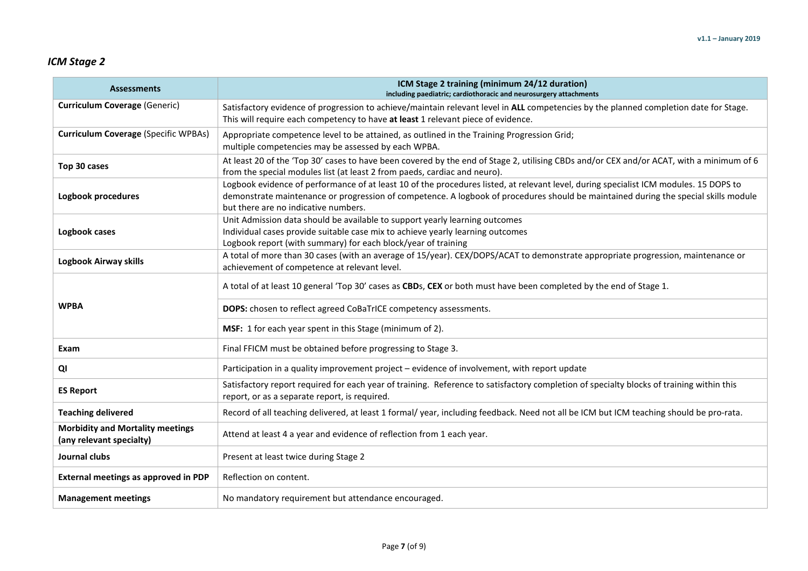# *ICM Stage 2*

| <b>Assessments</b>                                                                                                                                                                                                                              | ICM Stage 2 training (minimum 24/12 duration)<br>including paediatric; cardiothoracic and neurosurgery attachments                                                                                                                                                                                                   |  |  |  |  |  |  |  |
|-------------------------------------------------------------------------------------------------------------------------------------------------------------------------------------------------------------------------------------------------|----------------------------------------------------------------------------------------------------------------------------------------------------------------------------------------------------------------------------------------------------------------------------------------------------------------------|--|--|--|--|--|--|--|
| <b>Curriculum Coverage (Generic)</b>                                                                                                                                                                                                            | Satisfactory evidence of progression to achieve/maintain relevant level in ALL competencies by the planned completion date for Stage.<br>This will require each competency to have at least 1 relevant piece of evidence.                                                                                            |  |  |  |  |  |  |  |
| <b>Curriculum Coverage (Specific WPBAs)</b>                                                                                                                                                                                                     | Appropriate competence level to be attained, as outlined in the Training Progression Grid;<br>multiple competencies may be assessed by each WPBA.                                                                                                                                                                    |  |  |  |  |  |  |  |
| Top 30 cases                                                                                                                                                                                                                                    | At least 20 of the 'Top 30' cases to have been covered by the end of Stage 2, utilising CBDs and/or CEX and/or ACAT, with a minimum of 6<br>from the special modules list (at least 2 from paeds, cardiac and neuro).                                                                                                |  |  |  |  |  |  |  |
| Logbook procedures                                                                                                                                                                                                                              | Logbook evidence of performance of at least 10 of the procedures listed, at relevant level, during specialist ICM modules. 15 DOPS to<br>demonstrate maintenance or progression of competence. A logbook of procedures should be maintained during the special skills module<br>but there are no indicative numbers. |  |  |  |  |  |  |  |
| Unit Admission data should be available to support yearly learning outcomes<br>Individual cases provide suitable case mix to achieve yearly learning outcomes<br>Logbook cases<br>Logbook report (with summary) for each block/year of training |                                                                                                                                                                                                                                                                                                                      |  |  |  |  |  |  |  |
| <b>Logbook Airway skills</b>                                                                                                                                                                                                                    | A total of more than 30 cases (with an average of 15/year). CEX/DOPS/ACAT to demonstrate appropriate progression, maintenance or<br>achievement of competence at relevant level.                                                                                                                                     |  |  |  |  |  |  |  |
|                                                                                                                                                                                                                                                 | A total of at least 10 general 'Top 30' cases as CBDs, CEX or both must have been completed by the end of Stage 1.                                                                                                                                                                                                   |  |  |  |  |  |  |  |
| <b>WPBA</b>                                                                                                                                                                                                                                     | DOPS: chosen to reflect agreed CoBaTrICE competency assessments.                                                                                                                                                                                                                                                     |  |  |  |  |  |  |  |
|                                                                                                                                                                                                                                                 | MSF: 1 for each year spent in this Stage (minimum of 2).                                                                                                                                                                                                                                                             |  |  |  |  |  |  |  |
| Exam                                                                                                                                                                                                                                            | Final FFICM must be obtained before progressing to Stage 3.                                                                                                                                                                                                                                                          |  |  |  |  |  |  |  |
| QI                                                                                                                                                                                                                                              | Participation in a quality improvement project - evidence of involvement, with report update                                                                                                                                                                                                                         |  |  |  |  |  |  |  |
| <b>ES Report</b>                                                                                                                                                                                                                                | Satisfactory report required for each year of training. Reference to satisfactory completion of specialty blocks of training within this<br>report, or as a separate report, is required.                                                                                                                            |  |  |  |  |  |  |  |
| <b>Teaching delivered</b>                                                                                                                                                                                                                       | Record of all teaching delivered, at least 1 formal/ year, including feedback. Need not all be ICM but ICM teaching should be pro-rata.                                                                                                                                                                              |  |  |  |  |  |  |  |
| <b>Morbidity and Mortality meetings</b><br>(any relevant specialty)                                                                                                                                                                             | Attend at least 4 a year and evidence of reflection from 1 each year.                                                                                                                                                                                                                                                |  |  |  |  |  |  |  |
| Journal clubs                                                                                                                                                                                                                                   | Present at least twice during Stage 2                                                                                                                                                                                                                                                                                |  |  |  |  |  |  |  |
| <b>External meetings as approved in PDP</b>                                                                                                                                                                                                     | Reflection on content.                                                                                                                                                                                                                                                                                               |  |  |  |  |  |  |  |
| <b>Management meetings</b>                                                                                                                                                                                                                      | No mandatory requirement but attendance encouraged.                                                                                                                                                                                                                                                                  |  |  |  |  |  |  |  |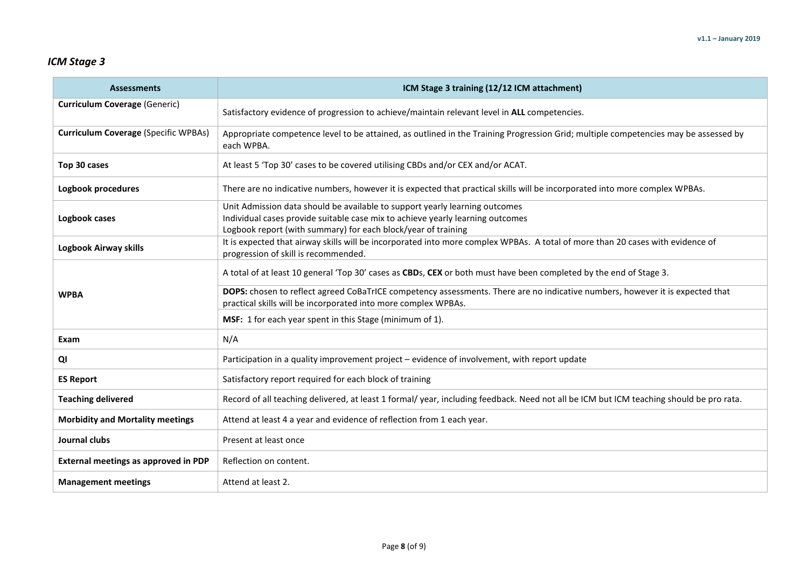# *ICM Stage 3*

| <b>Assessments</b>                          | ICM Stage 3 training (12/12 ICM attachment)                                                                                                                                                                                    |  |  |  |  |  |  |
|---------------------------------------------|--------------------------------------------------------------------------------------------------------------------------------------------------------------------------------------------------------------------------------|--|--|--|--|--|--|
| <b>Curriculum Coverage (Generic)</b>        | Satisfactory evidence of progression to achieve/maintain relevant level in ALL competencies.                                                                                                                                   |  |  |  |  |  |  |
| <b>Curriculum Coverage (Specific WPBAs)</b> | Appropriate competence level to be attained, as outlined in the Training Progression Grid; multiple competencies may be assessed by<br>each WPBA.                                                                              |  |  |  |  |  |  |
| Top 30 cases                                | At least 5 'Top 30' cases to be covered utilising CBDs and/or CEX and/or ACAT.                                                                                                                                                 |  |  |  |  |  |  |
| Logbook procedures                          | There are no indicative numbers, however it is expected that practical skills will be incorporated into more complex WPBAs.                                                                                                    |  |  |  |  |  |  |
| Logbook cases                               | Unit Admission data should be available to support yearly learning outcomes<br>Individual cases provide suitable case mix to achieve yearly learning outcomes<br>Logbook report (with summary) for each block/year of training |  |  |  |  |  |  |
| Logbook Airway skills                       | It is expected that airway skills will be incorporated into more complex WPBAs. A total of more than 20 cases with evidence of<br>progression of skill is recommended.                                                         |  |  |  |  |  |  |
|                                             | A total of at least 10 general 'Top 30' cases as CBDs, CEX or both must have been completed by the end of Stage 3.                                                                                                             |  |  |  |  |  |  |
| <b>WPBA</b>                                 | DOPS: chosen to reflect agreed CoBaTrICE competency assessments. There are no indicative numbers, however it is expected that<br>practical skills will be incorporated into more complex WPBAs.                                |  |  |  |  |  |  |
|                                             | MSF: 1 for each year spent in this Stage (minimum of 1).                                                                                                                                                                       |  |  |  |  |  |  |
| Exam                                        | N/A                                                                                                                                                                                                                            |  |  |  |  |  |  |
| QI                                          | Participation in a quality improvement project - evidence of involvement, with report update                                                                                                                                   |  |  |  |  |  |  |
| <b>ES Report</b>                            | Satisfactory report required for each block of training                                                                                                                                                                        |  |  |  |  |  |  |
| <b>Teaching delivered</b>                   | Record of all teaching delivered, at least 1 formal/ year, including feedback. Need not all be ICM but ICM teaching should be pro rata.                                                                                        |  |  |  |  |  |  |
| <b>Morbidity and Mortality meetings</b>     | Attend at least 4 a year and evidence of reflection from 1 each year.                                                                                                                                                          |  |  |  |  |  |  |
| Journal clubs                               | Present at least once                                                                                                                                                                                                          |  |  |  |  |  |  |
| External meetings as approved in PDP        | Reflection on content.                                                                                                                                                                                                         |  |  |  |  |  |  |
| <b>Management meetings</b>                  | Attend at least 2.                                                                                                                                                                                                             |  |  |  |  |  |  |